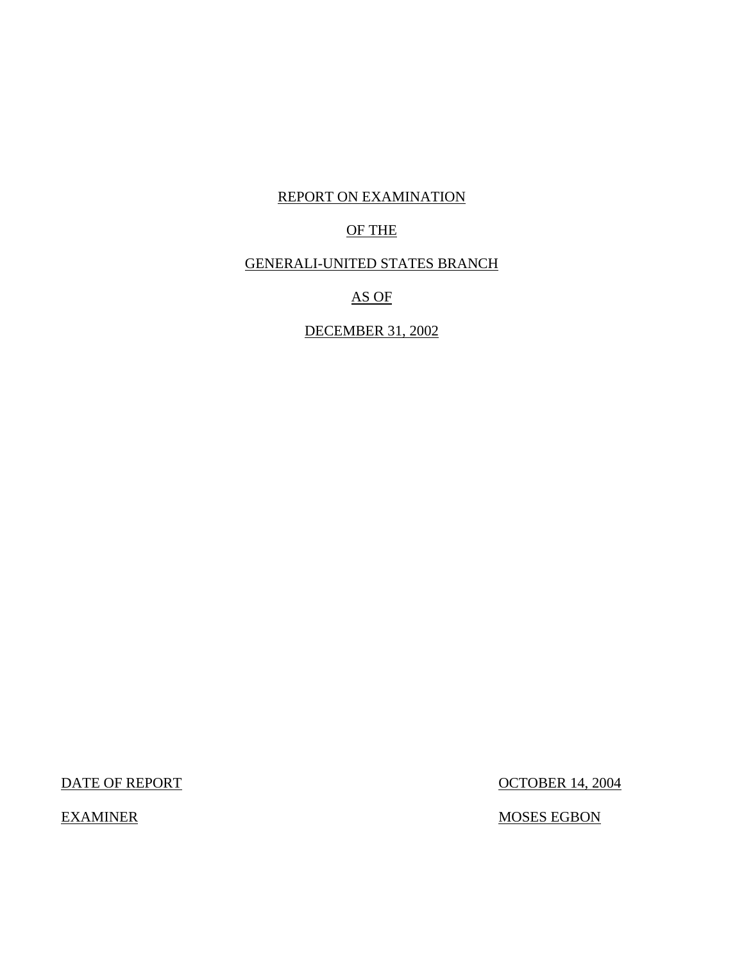## REPORT ON EXAMINATION

## OF THE

## GENERALI-UNITED STATES BRANCH

AS OF

DECEMBER 31, 2002

DATE OF REPORT OCTOBER 14, 2004

EXAMINER MOSES EGBON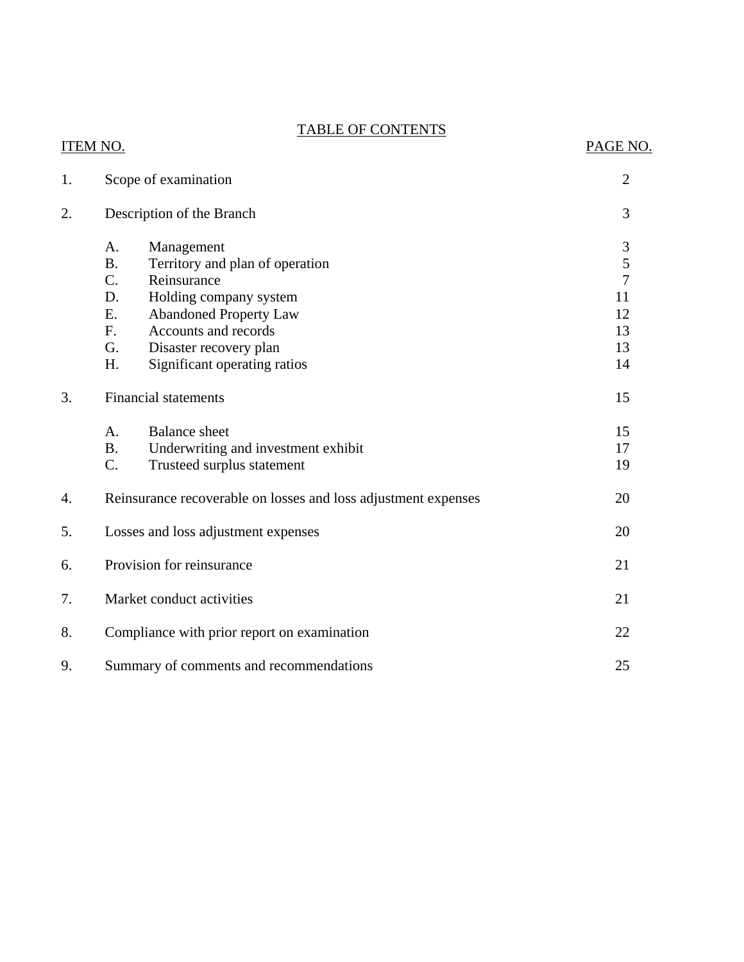## TABLE OF CONTENTS

## ITEM NO. PAGE NO.

| 1. | Scope of examination                                           | $\overline{2}$ |  |
|----|----------------------------------------------------------------|----------------|--|
| 2. | Description of the Branch                                      | 3              |  |
|    | A.<br>Management                                               | $\mathfrak{Z}$ |  |
|    | <b>B.</b><br>Territory and plan of operation                   | $\mathfrak s$  |  |
|    | Reinsurance<br>C.                                              | $\overline{7}$ |  |
|    | D.<br>Holding company system                                   | 11             |  |
|    | <b>Abandoned Property Law</b><br>Ε.                            | 12             |  |
|    | Accounts and records<br>F.                                     | 13             |  |
|    | G.<br>Disaster recovery plan                                   | 13             |  |
|    | H.<br>Significant operating ratios                             | 14             |  |
| 3. | <b>Financial statements</b>                                    |                |  |
|    | A.<br><b>Balance</b> sheet                                     | 15             |  |
|    | <b>B.</b><br>Underwriting and investment exhibit               | 17             |  |
|    | C.<br>Trusteed surplus statement                               | 19             |  |
| 4. | Reinsurance recoverable on losses and loss adjustment expenses | 20             |  |
| 5. | Losses and loss adjustment expenses                            | 20             |  |
| 6. | Provision for reinsurance                                      | 21             |  |
| 7. | Market conduct activities                                      | 21             |  |
| 8. | Compliance with prior report on examination                    | 22             |  |
| 9. | Summary of comments and recommendations                        | 25             |  |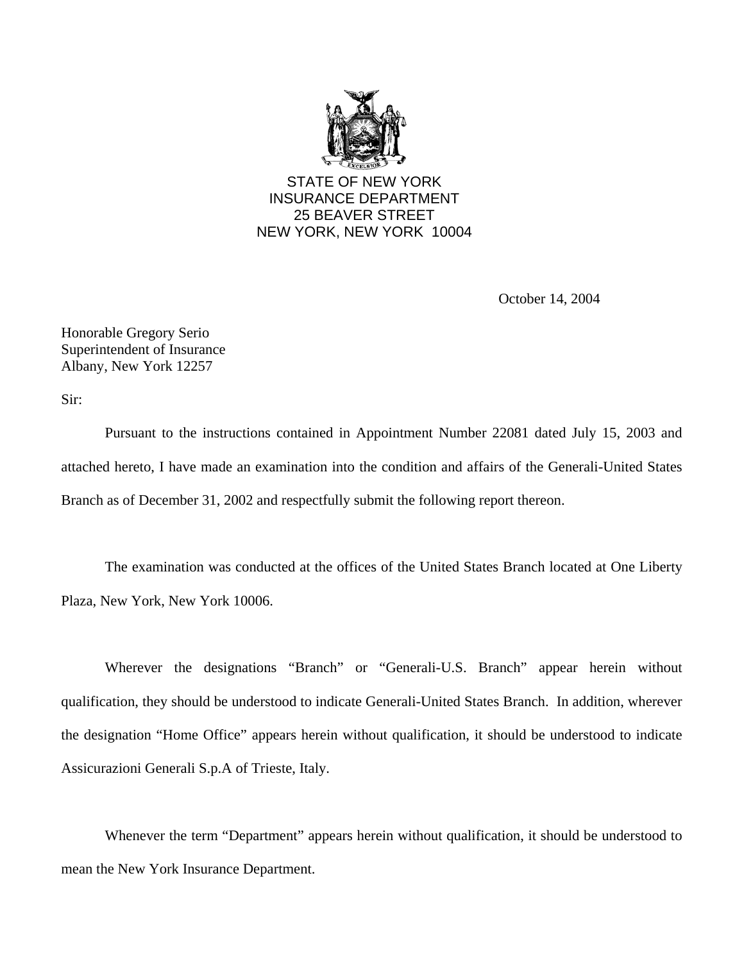

STATE OF NEW YORK INSURANCE DEPARTMENT 25 BEAVER STREET NEW YORK, NEW YORK 10004

October 14, 2004

Honorable Gregory Serio Superintendent of Insurance Albany, New York 12257

Sir:

Pursuant to the instructions contained in Appointment Number 22081 dated July 15, 2003 and attached hereto, I have made an examination into the condition and affairs of the Generali-United States Branch as of December 31, 2002 and respectfully submit the following report thereon.

The examination was conducted at the offices of the United States Branch located at One Liberty Plaza, New York, New York 10006.

Wherever the designations "Branch" or "Generali-U.S. Branch" appear herein without qualification, they should be understood to indicate Generali-United States Branch. In addition, wherever the designation "Home Office" appears herein without qualification, it should be understood to indicate Assicurazioni Generali S.p.A of Trieste, Italy.

Whenever the term "Department" appears herein without qualification, it should be understood to mean the New York Insurance Department.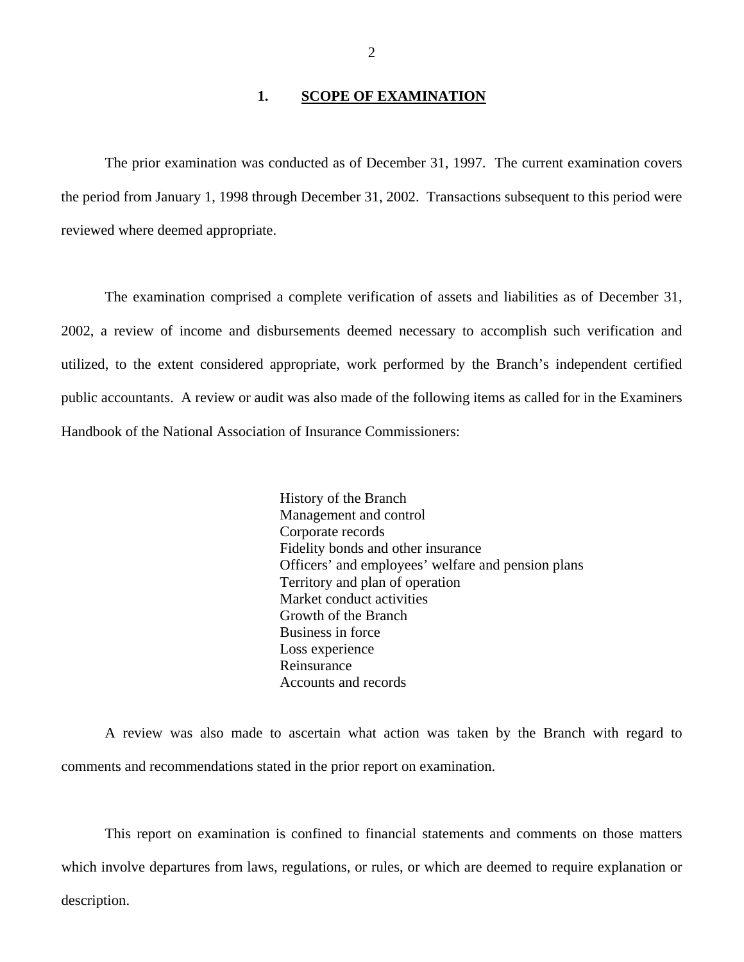### **1. SCOPE OF EXAMINATION**

<span id="page-3-0"></span>The prior examination was conducted as of December 31, 1997. The current examination covers the period from January 1, 1998 through December 31, 2002. Transactions subsequent to this period were reviewed where deemed appropriate.

The examination comprised a complete verification of assets and liabilities as of December 31, 2002, a review of income and disbursements deemed necessary to accomplish such verification and utilized, to the extent considered appropriate, work performed by the Branch's independent certified public accountants. A review or audit was also made of the following items as called for in the Examiners Handbook of the National Association of Insurance Commissioners:

> History of the Branch Management and control Corporate records Fidelity bonds and other insurance Officers' and employees' welfare and pension plans Territory and plan of operation Market conduct activities Growth of the Branch Business in force Loss experience Reinsurance Accounts and records

A review was also made to ascertain what action was taken by the Branch with regard to comments and recommendations stated in the prior report on examination.

This report on examination is confined to financial statements and comments on those matters which involve departures from laws, regulations, or rules, or which are deemed to require explanation or description.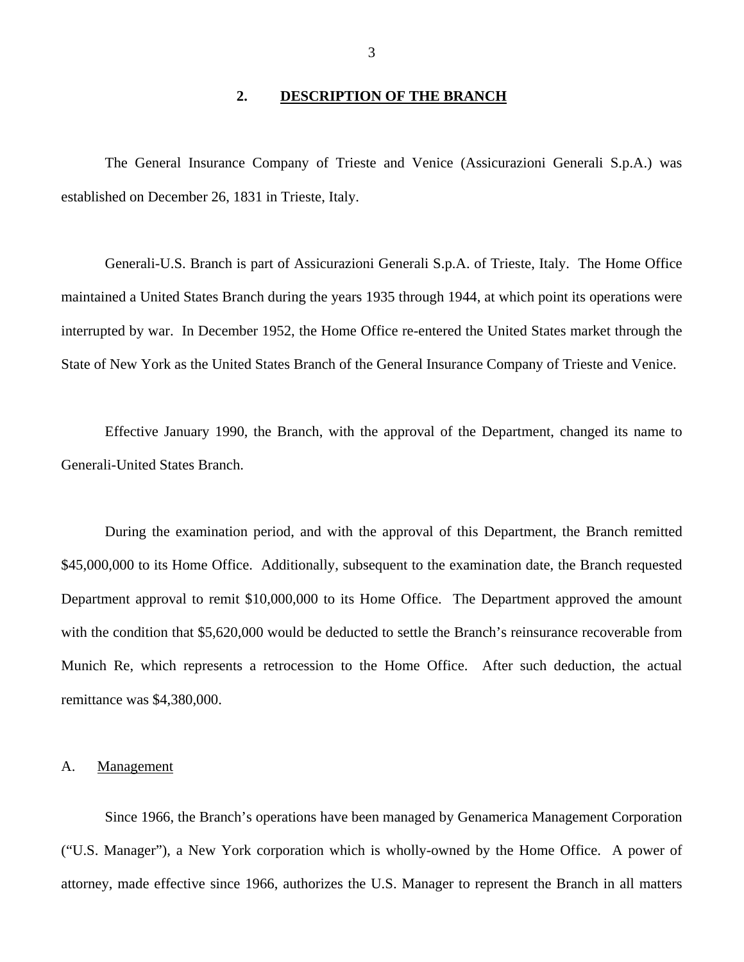### **2. DESCRIPTION OF THE BRANCH**

<span id="page-4-0"></span>The General Insurance Company of Trieste and Venice (Assicurazioni Generali S.p.A.) was established on December 26, 1831 in Trieste, Italy.

Generali-U.S. Branch is part of Assicurazioni Generali S.p.A. of Trieste, Italy. The Home Office maintained a United States Branch during the years 1935 through 1944, at which point its operations were interrupted by war. In December 1952, the Home Office re-entered the United States market through the State of New York as the United States Branch of the General Insurance Company of Trieste and Venice.

Effective January 1990, the Branch, with the approval of the Department, changed its name to Generali-United States Branch.

During the examination period, and with the approval of this Department, the Branch remitted \$45,000,000 to its Home Office. Additionally, subsequent to the examination date, the Branch requested Department approval to remit \$10,000,000 to its Home Office. The Department approved the amount with the condition that \$5,620,000 would be deducted to settle the Branch's reinsurance recoverable from Munich Re, which represents a retrocession to the Home Office. After such deduction, the actual remittance was \$4,380,000.

#### A. Management

Since 1966, the Branch's operations have been managed by Genamerica Management Corporation ("U.S. Manager"), a New York corporation which is wholly-owned by the Home Office. A power of attorney, made effective since 1966, authorizes the U.S. Manager to represent the Branch in all matters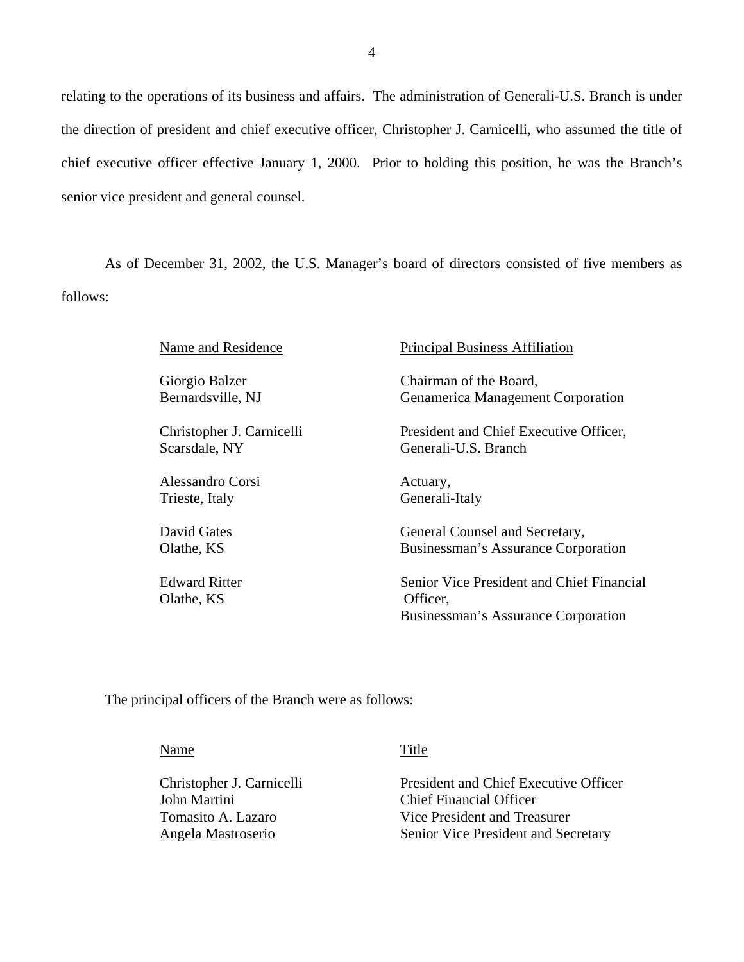relating to the operations of its business and affairs. The administration of Generali-U.S. Branch is under the direction of president and chief executive officer, Christopher J. Carnicelli, who assumed the title of chief executive officer effective January 1, 2000. Prior to holding this position, he was the Branch's senior vice president and general counsel.

As of December 31, 2002, the U.S. Manager's board of directors consisted of five members as follows:

| Name and Residence                 | <b>Principal Business Affiliation</b>                                                        |
|------------------------------------|----------------------------------------------------------------------------------------------|
| Giorgio Balzer                     | Chairman of the Board,                                                                       |
| Bernardsville, NJ                  | Genamerica Management Corporation                                                            |
| Christopher J. Carnicelli          | President and Chief Executive Officer,                                                       |
| Scarsdale, NY                      | Generali-U.S. Branch                                                                         |
| Alessandro Corsi                   | Actuary,                                                                                     |
| Trieste, Italy                     | Generali-Italy                                                                               |
| David Gates                        | General Counsel and Secretary,                                                               |
| Olathe, KS                         | Businessman's Assurance Corporation                                                          |
| <b>Edward Ritter</b><br>Olathe, KS | Senior Vice President and Chief Financial<br>Officer,<br>Businessman's Assurance Corporation |

The principal officers of the Branch were as follows:

Name

Title

Christopher J. Carnicelli John Martini Tomasito A. Lazaro Angela Mastroserio

President and Chief Executive Officer Chief Financial Officer Vice President and Treasurer Senior Vice President and Secretary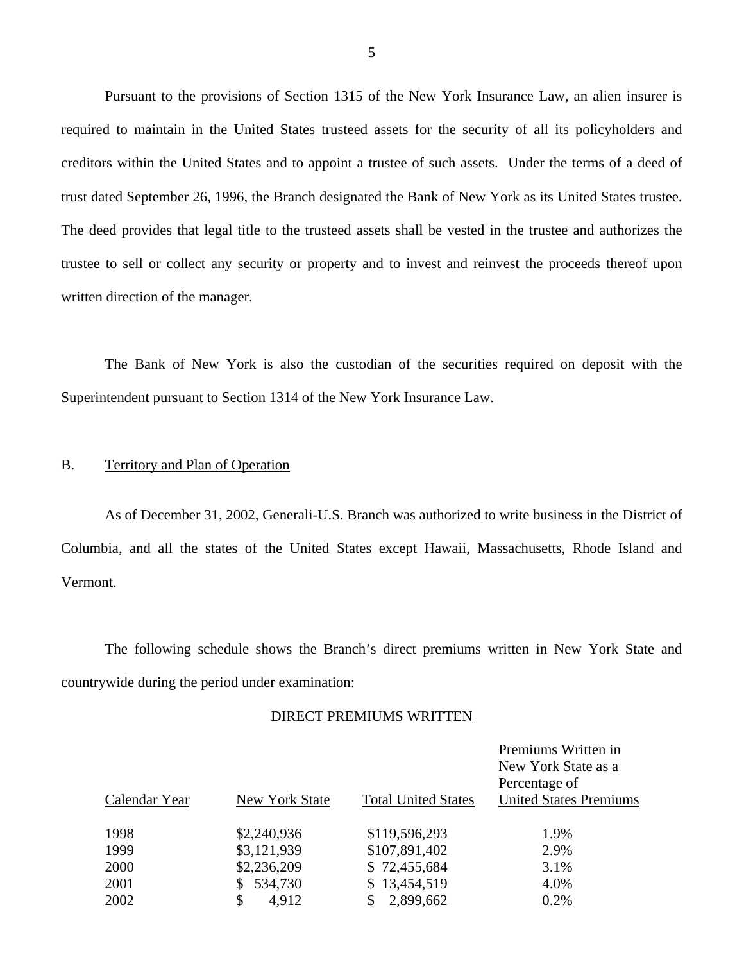Pursuant to the provisions of Section 1315 of the New York Insurance Law, an alien insurer is required to maintain in the United States trusteed assets for the security of all its policyholders and creditors within the United States and to appoint a trustee of such assets. Under the terms of a deed of trust dated September 26, 1996, the Branch designated the Bank of New York as its United States trustee. The deed provides that legal title to the trusteed assets shall be vested in the trustee and authorizes the trustee to sell or collect any security or property and to invest and reinvest the proceeds thereof upon written direction of the manager.

The Bank of New York is also the custodian of the securities required on deposit with the Superintendent pursuant to Section 1314 of the New York Insurance Law.

### B. Territory and Plan of Operation

As of December 31, 2002, Generali-U.S. Branch was authorized to write business in the District of Columbia, and all the states of the United States except Hawaii, Massachusetts, Rhode Island and Vermont.

The following schedule shows the Branch's direct premiums written in New York State and countrywide during the period under examination:

### DIRECT PREMIUMS WRITTEN

|               |                |                            | Premiums Written in<br>New York State as a<br>Percentage of |
|---------------|----------------|----------------------------|-------------------------------------------------------------|
| Calendar Year | New York State | <b>Total United States</b> | <b>United States Premiums</b>                               |
| 1998          | \$2,240,936    | \$119,596,293              | 1.9%                                                        |
| 1999          | \$3,121,939    | \$107,891,402              | 2.9%                                                        |
| 2000          | \$2,236,209    | \$72,455,684               | 3.1%                                                        |
| 2001          | 534,730        | \$13,454,519               | 4.0%                                                        |
| 2002          | \$<br>4,912    | 2,899,662                  | 0.2%                                                        |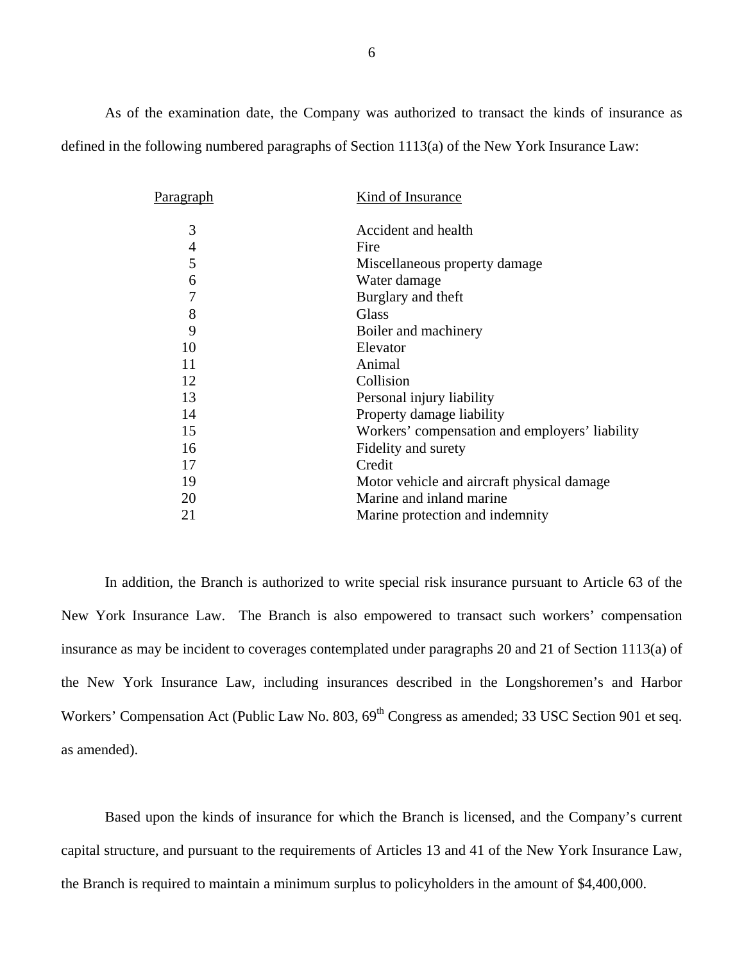As of the examination date, the Company was authorized to transact the kinds of insurance as defined in the following numbered paragraphs of Section 1113(a) of the New York Insurance Law:

| Paragraph      | Kind of Insurance                              |
|----------------|------------------------------------------------|
| 3              | Accident and health                            |
| $\overline{4}$ | Fire                                           |
| 5              | Miscellaneous property damage                  |
| 6              | Water damage                                   |
| 7              | Burglary and theft                             |
| 8              | Glass                                          |
| 9              | Boiler and machinery                           |
| 10             | Elevator                                       |
| 11             | Animal                                         |
| 12             | Collision                                      |
| 13             | Personal injury liability                      |
| 14             | Property damage liability                      |
| 15             | Workers' compensation and employers' liability |
| 16             | Fidelity and surety                            |
| 17             | Credit                                         |
| 19             | Motor vehicle and aircraft physical damage     |
| 20             | Marine and inland marine                       |
| 21             | Marine protection and indemnity                |

In addition, the Branch is authorized to write special risk insurance pursuant to Article 63 of the New York Insurance Law. The Branch is also empowered to transact such workers' compensation insurance as may be incident to coverages contemplated under paragraphs 20 and 21 of Section 1113(a) of the New York Insurance Law, including insurances described in the Longshoremen's and Harbor Workers' Compensation Act (Public Law No. 803, 69<sup>th</sup> Congress as amended; 33 USC Section 901 et seq. as amended).

Based upon the kinds of insurance for which the Branch is licensed, and the Company's current capital structure, and pursuant to the requirements of Articles 13 and 41 of the New York Insurance Law, the Branch is required to maintain a minimum surplus to policyholders in the amount of \$4,400,000.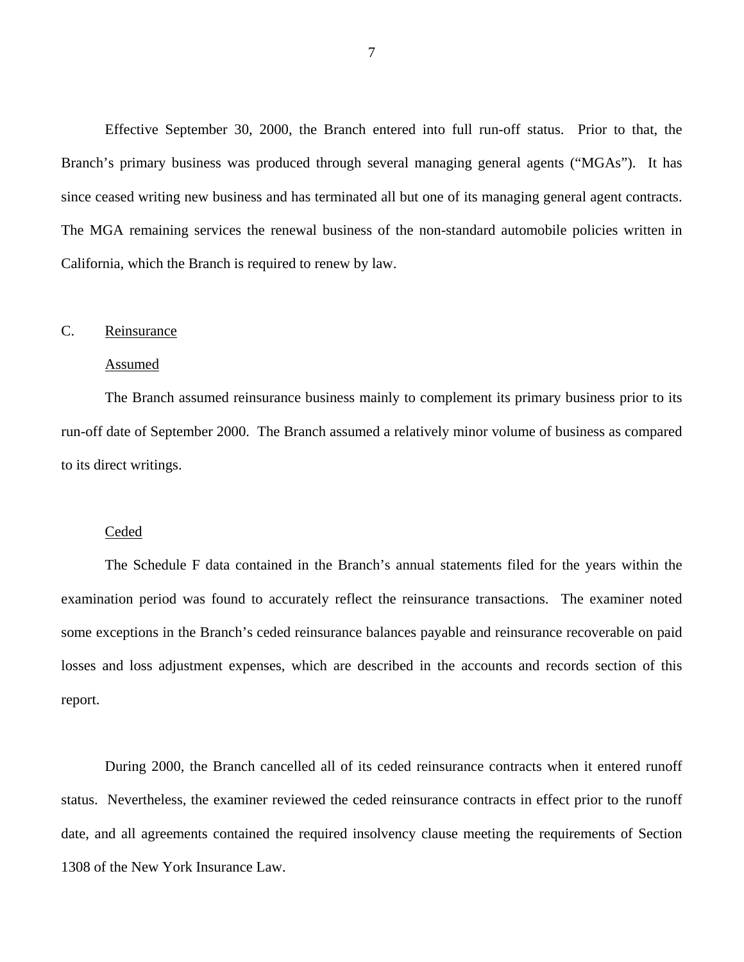<span id="page-8-0"></span>Effective September 30, 2000, the Branch entered into full run-off status. Prior to that, the Branch's primary business was produced through several managing general agents ("MGAs"). It has since ceased writing new business and has terminated all but one of its managing general agent contracts. The MGA remaining services the renewal business of the non-standard automobile policies written in California, which the Branch is required to renew by law.

## C. Reinsurance

#### Assumed

The Branch assumed reinsurance business mainly to complement its primary business prior to its run-off date of September 2000. The Branch assumed a relatively minor volume of business as compared to its direct writings.

#### **Ceded**

The Schedule F data contained in the Branch's annual statements filed for the years within the examination period was found to accurately reflect the reinsurance transactions. The examiner noted some exceptions in the Branch's ceded reinsurance balances payable and reinsurance recoverable on paid losses and loss adjustment expenses, which are described in the accounts and records section of this report.

During 2000, the Branch cancelled all of its ceded reinsurance contracts when it entered runoff status. Nevertheless, the examiner reviewed the ceded reinsurance contracts in effect prior to the runoff date, and all agreements contained the required insolvency clause meeting the requirements of Section 1308 of the New York Insurance Law.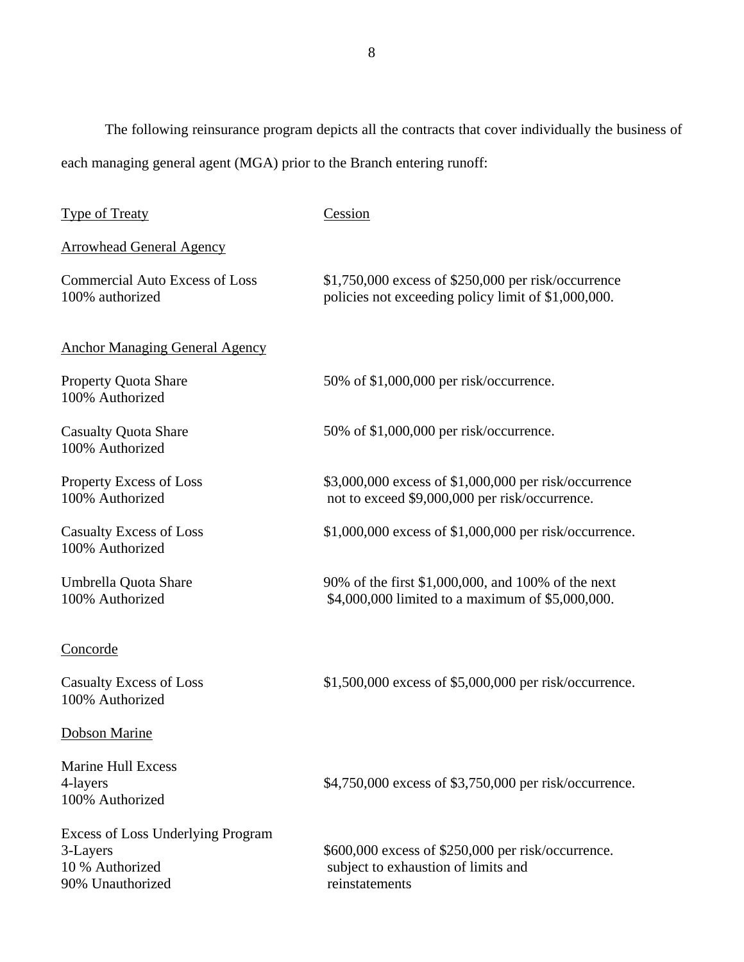The following reinsurance program depicts all the contracts that cover individually the business of each managing general agent (MGA) prior to the Branch entering runoff:

| <b>Type of Treaty</b>                                                                       | Cession                                                                                                      |
|---------------------------------------------------------------------------------------------|--------------------------------------------------------------------------------------------------------------|
| <b>Arrowhead General Agency</b>                                                             |                                                                                                              |
| <b>Commercial Auto Excess of Loss</b><br>100% authorized                                    | $$1,750,000$ excess of $$250,000$ per risk/occurrence<br>policies not exceeding policy limit of \$1,000,000. |
| <b>Anchor Managing General Agency</b>                                                       |                                                                                                              |
| <b>Property Quota Share</b><br>100% Authorized                                              | 50% of \$1,000,000 per risk/occurrence.                                                                      |
| <b>Casualty Quota Share</b><br>100% Authorized                                              | 50% of \$1,000,000 per risk/occurrence.                                                                      |
| <b>Property Excess of Loss</b><br>100% Authorized                                           | \$3,000,000 excess of \$1,000,000 per risk/occurrence<br>not to exceed \$9,000,000 per risk/occurrence.      |
| <b>Casualty Excess of Loss</b><br>100% Authorized                                           | \$1,000,000 excess of \$1,000,000 per risk/occurrence.                                                       |
| Umbrella Quota Share<br>100% Authorized                                                     | 90% of the first \$1,000,000, and 100% of the next<br>\$4,000,000 limited to a maximum of \$5,000,000.       |
| <u>Concorde</u>                                                                             |                                                                                                              |
| <b>Casualty Excess of Loss</b><br>100% Authorized                                           | \$1,500,000 excess of \$5,000,000 per risk/occurrence.                                                       |
| <b>Dobson Marine</b>                                                                        |                                                                                                              |
| <b>Marine Hull Excess</b><br>4-layers<br>100% Authorized                                    | \$4,750,000 excess of \$3,750,000 per risk/occurrence.                                                       |
| <b>Excess of Loss Underlying Program</b><br>3-Layers<br>10 % Authorized<br>90% Unauthorized | \$600,000 excess of \$250,000 per risk/occurrence.<br>subject to exhaustion of limits and<br>reinstatements  |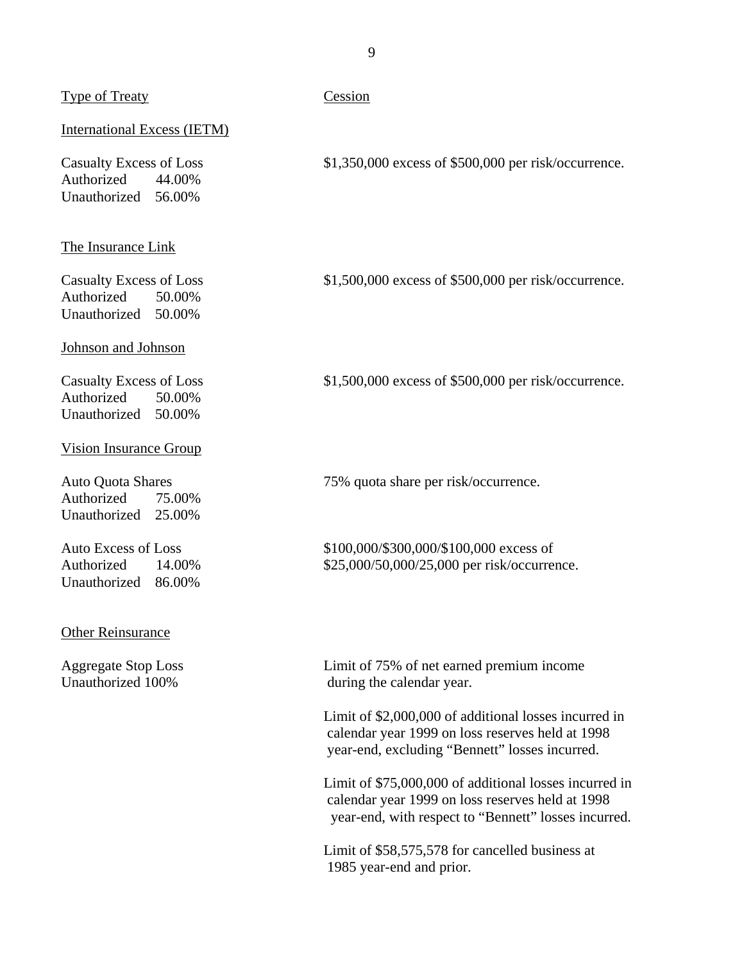## Type of Treaty Cession

### International Excess (IETM)

Authorized 44.00% Unauthorized 56.00%

### The Insurance Link

Authorized 50.00% Unauthorized 50.00%

## Johnson and Johnson

Authorized 50.00% Unauthorized 50.00%

#### Vision Insurance Group

Authorized 75.00% Unauthorized 25.00%

Unauthorized 86.00%

#### Other Reinsurance

Casualty Excess of Loss  $$1,350,000$  excess of \$500,000 per risk/occurrence.

Casualty Excess of Loss  $$1,500,000$  excess of \$500,000 per risk/occurrence.

Casualty Excess of Loss \$1,500,000 excess of \$500,000 per risk/occurrence.

Auto Quota Shares 75% quota share per risk/occurrence.

Auto Excess of Loss \$100,000/\$300,000/\$100,000 excess of Authorized 14.00% \$25,000/50,000/25,000 per risk/occurrence.

Aggregate Stop Loss Limit of 75% of net earned premium income Unauthorized 100% during the calendar year.

> Limit of \$2,000,000 of additional losses incurred in calendar year 1999 on loss reserves held at 1998 year-end, excluding "Bennett" losses incurred.

Limit of \$75,000,000 of additional losses incurred in calendar year 1999 on loss reserves held at 1998 year-end, with respect to "Bennett" losses incurred.

Limit of \$58,575,578 for cancelled business at 1985 year-end and prior.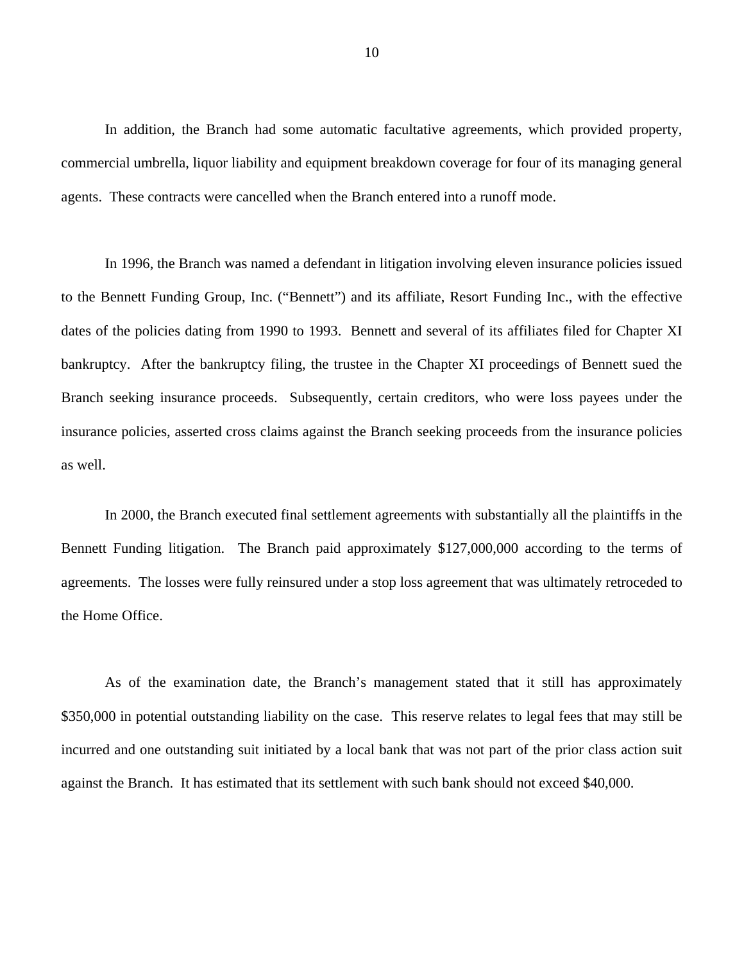In addition, the Branch had some automatic facultative agreements, which provided property, commercial umbrella, liquor liability and equipment breakdown coverage for four of its managing general agents. These contracts were cancelled when the Branch entered into a runoff mode.

In 1996, the Branch was named a defendant in litigation involving eleven insurance policies issued to the Bennett Funding Group, Inc. ("Bennett") and its affiliate, Resort Funding Inc., with the effective dates of the policies dating from 1990 to 1993. Bennett and several of its affiliates filed for Chapter XI bankruptcy. After the bankruptcy filing, the trustee in the Chapter XI proceedings of Bennett sued the Branch seeking insurance proceeds. Subsequently, certain creditors, who were loss payees under the insurance policies, asserted cross claims against the Branch seeking proceeds from the insurance policies as well.

In 2000, the Branch executed final settlement agreements with substantially all the plaintiffs in the Bennett Funding litigation. The Branch paid approximately \$127,000,000 according to the terms of agreements. The losses were fully reinsured under a stop loss agreement that was ultimately retroceded to the Home Office.

As of the examination date, the Branch's management stated that it still has approximately \$350,000 in potential outstanding liability on the case. This reserve relates to legal fees that may still be incurred and one outstanding suit initiated by a local bank that was not part of the prior class action suit against the Branch. It has estimated that its settlement with such bank should not exceed \$40,000.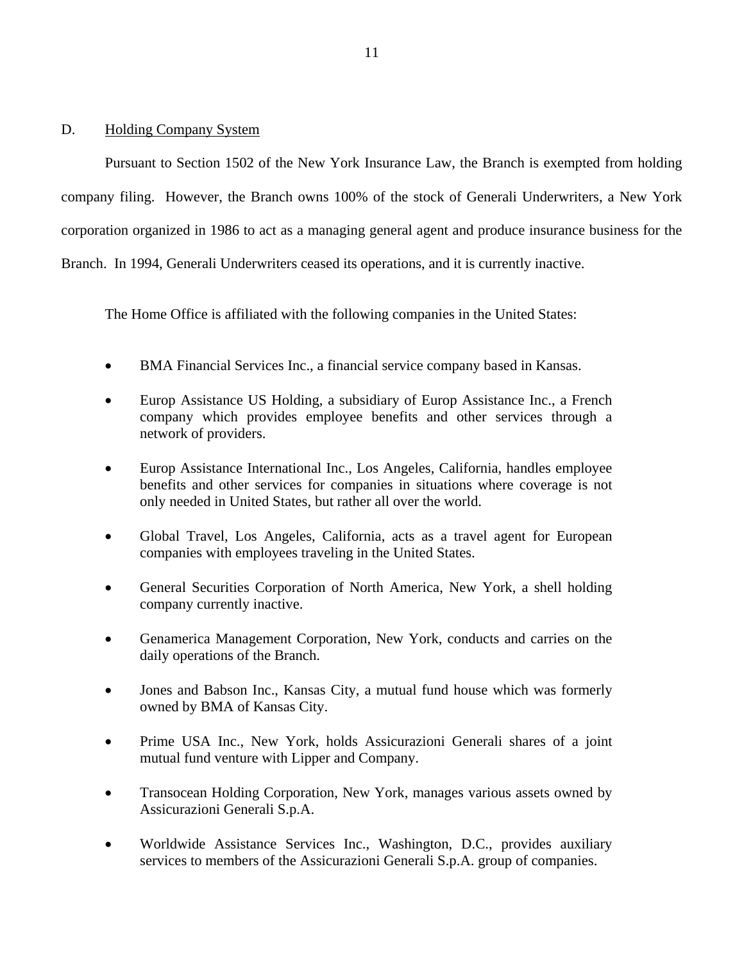## <span id="page-12-0"></span>D. Holding Company System

Pursuant to Section 1502 of the New York Insurance Law, the Branch is exempted from holding company filing. However, the Branch owns 100% of the stock of Generali Underwriters, a New York corporation organized in 1986 to act as a managing general agent and produce insurance business for the Branch. In 1994, Generali Underwriters ceased its operations, and it is currently inactive.

The Home Office is affiliated with the following companies in the United States:

- BMA Financial Services Inc., a financial service company based in Kansas.
- Europ Assistance US Holding, a subsidiary of Europ Assistance Inc., a French company which provides employee benefits and other services through a network of providers.
- Europ Assistance International Inc., Los Angeles, California, handles employee benefits and other services for companies in situations where coverage is not only needed in United States, but rather all over the world.
- Global Travel, Los Angeles, California, acts as a travel agent for European companies with employees traveling in the United States.
- General Securities Corporation of North America, New York, a shell holding company currently inactive.
- Genamerica Management Corporation, New York, conducts and carries on the daily operations of the Branch.
- Jones and Babson Inc., Kansas City, a mutual fund house which was formerly owned by BMA of Kansas City.
- Prime USA Inc., New York, holds Assicurazioni Generali shares of a joint mutual fund venture with Lipper and Company.
- Transocean Holding Corporation, New York, manages various assets owned by Assicurazioni Generali S.p.A.
- Worldwide Assistance Services Inc., Washington, D.C., provides auxiliary services to members of the Assicurazioni Generali S.p.A. group of companies.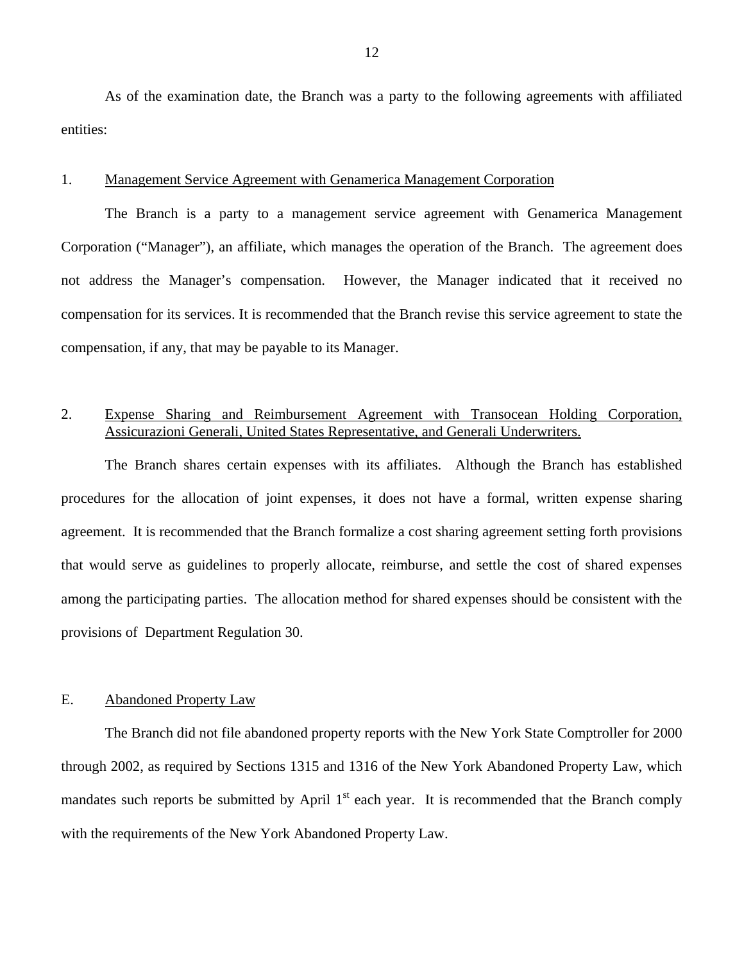<span id="page-13-0"></span>As of the examination date, the Branch was a party to the following agreements with affiliated entities:

## 1. Management Service Agreement with Genamerica Management Corporation

The Branch is a party to a management service agreement with Genamerica Management Corporation ("Manager"), an affiliate, which manages the operation of the Branch. The agreement does not address the Manager's compensation. However, the Manager indicated that it received no compensation for its services. It is recommended that the Branch revise this service agreement to state the compensation, if any, that may be payable to its Manager.

## 2. Expense Sharing and Reimbursement Agreement with Transocean Holding Corporation, Assicurazioni Generali, United States Representative, and Generali Underwriters.

The Branch shares certain expenses with its affiliates. Although the Branch has established procedures for the allocation of joint expenses, it does not have a formal, written expense sharing agreement. It is recommended that the Branch formalize a cost sharing agreement setting forth provisions that would serve as guidelines to properly allocate, reimburse, and settle the cost of shared expenses among the participating parties. The allocation method for shared expenses should be consistent with the provisions of Department Regulation 30.

## E. Abandoned Property Law

The Branch did not file abandoned property reports with the New York State Comptroller for 2000 through 2002, as required by Sections 1315 and 1316 of the New York Abandoned Property Law, which mandates such reports be submitted by April  $1<sup>st</sup>$  each year. It is recommended that the Branch comply with the requirements of the New York Abandoned Property Law.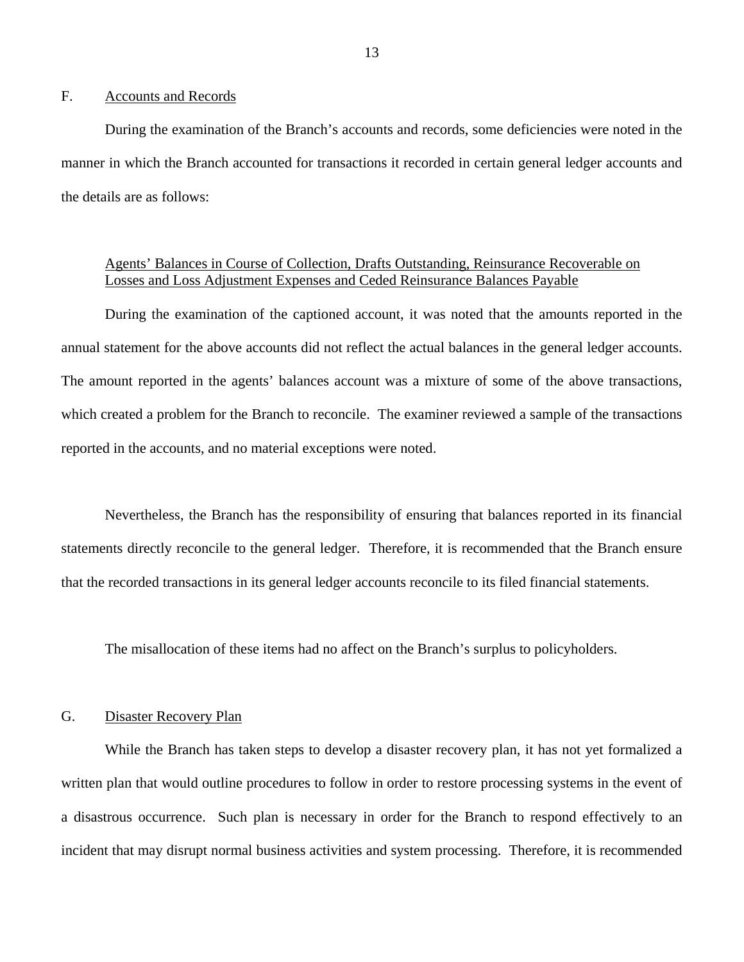## <span id="page-14-0"></span>F. Accounts and Records

During the examination of the Branch's accounts and records, some deficiencies were noted in the manner in which the Branch accounted for transactions it recorded in certain general ledger accounts and the details are as follows:

## Agents' Balances in Course of Collection, Drafts Outstanding, Reinsurance Recoverable on Losses and Loss Adjustment Expenses and Ceded Reinsurance Balances Payable

During the examination of the captioned account, it was noted that the amounts reported in the annual statement for the above accounts did not reflect the actual balances in the general ledger accounts. The amount reported in the agents' balances account was a mixture of some of the above transactions, which created a problem for the Branch to reconcile. The examiner reviewed a sample of the transactions reported in the accounts, and no material exceptions were noted.

Nevertheless, the Branch has the responsibility of ensuring that balances reported in its financial statements directly reconcile to the general ledger. Therefore, it is recommended that the Branch ensure that the recorded transactions in its general ledger accounts reconcile to its filed financial statements.

The misallocation of these items had no affect on the Branch's surplus to policyholders.

## G. Disaster Recovery Plan

While the Branch has taken steps to develop a disaster recovery plan, it has not yet formalized a written plan that would outline procedures to follow in order to restore processing systems in the event of a disastrous occurrence. Such plan is necessary in order for the Branch to respond effectively to an incident that may disrupt normal business activities and system processing. Therefore, it is recommended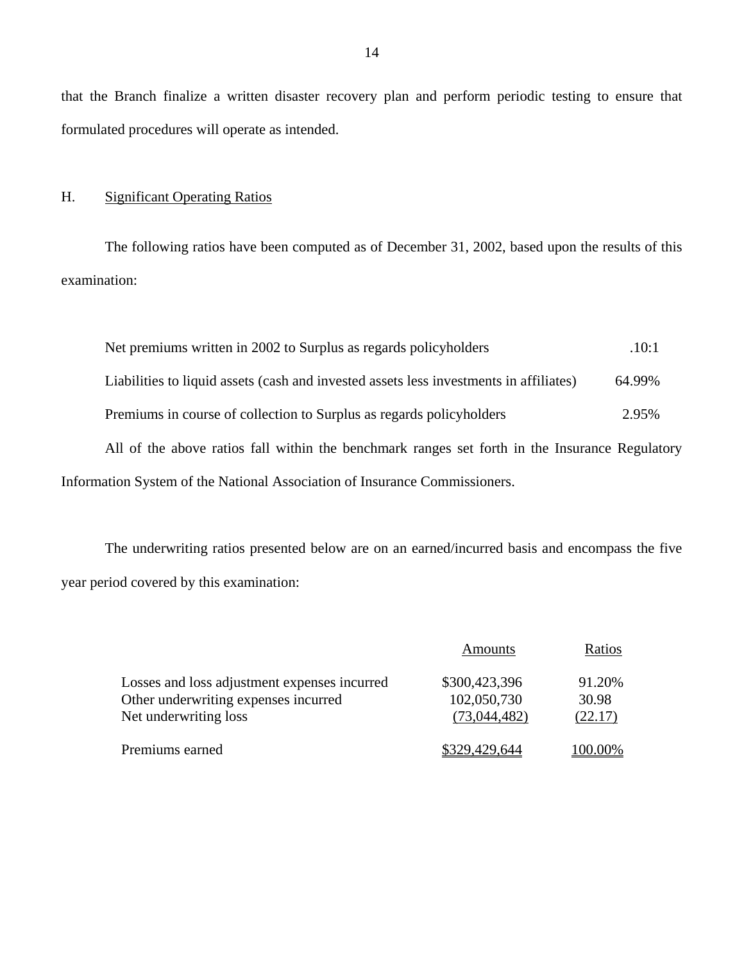that the Branch finalize a written disaster recovery plan and perform periodic testing to ensure that formulated procedures will operate as intended.

H. Significant Operating Ratios

The following ratios have been computed as of December 31, 2002, based upon the results of this examination:

| Net premiums written in 2002 to Surplus as regards policyholders                               | .10:1  |
|------------------------------------------------------------------------------------------------|--------|
| Liabilities to liquid assets (cash and invested assets less investments in affiliates)         | 64.99% |
| Premiums in course of collection to Surplus as regards policyholders                           | 2.95%  |
| All of the above ratios fall within the benchmark ranges set forth in the Insurance Regulatory |        |
| Information System of the National Association of Insurance Commissioners.                     |        |

The underwriting ratios presented below are on an earned/incurred basis and encompass the five year period covered by this examination:

|                                              | Amounts       | Ratios  |
|----------------------------------------------|---------------|---------|
| Losses and loss adjustment expenses incurred | \$300,423,396 | 91.20%  |
| Other underwriting expenses incurred         | 102,050,730   | 30.98   |
| Net underwriting loss                        | (73,044,482)  | (22.17) |
| Premiums earned                              | \$329,429,644 | 100.00% |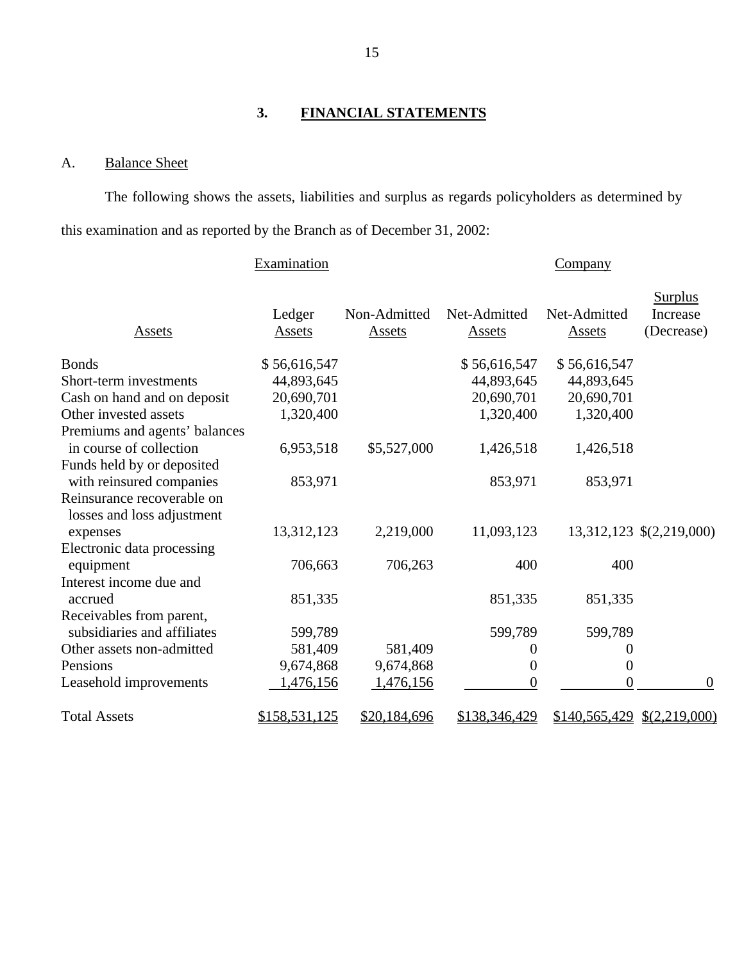## **3. FINANCIAL STATEMENTS**

## A. Balance Sheet

The following shows the assets, liabilities and surplus as regards policyholders as determined by this examination and as reported by the Branch as of December 31, 2002:

|                                                          | Examination      |                        |                        | <b>Company</b>         |                                          |
|----------------------------------------------------------|------------------|------------------------|------------------------|------------------------|------------------------------------------|
| Assets                                                   | Ledger<br>Assets | Non-Admitted<br>Assets | Net-Admitted<br>Assets | Net-Admitted<br>Assets | <b>Surplus</b><br>Increase<br>(Decrease) |
| <b>Bonds</b>                                             | \$56,616,547     |                        | \$56,616,547           | \$56,616,547           |                                          |
| Short-term investments                                   | 44,893,645       |                        | 44,893,645             | 44,893,645             |                                          |
| Cash on hand and on deposit                              | 20,690,701       |                        | 20,690,701             | 20,690,701             |                                          |
| Other invested assets                                    | 1,320,400        |                        | 1,320,400              | 1,320,400              |                                          |
| Premiums and agents' balances                            |                  |                        |                        |                        |                                          |
| in course of collection                                  | 6,953,518        | \$5,527,000            | 1,426,518              | 1,426,518              |                                          |
| Funds held by or deposited                               |                  |                        |                        |                        |                                          |
| with reinsured companies                                 | 853,971          |                        | 853,971                | 853,971                |                                          |
| Reinsurance recoverable on<br>losses and loss adjustment |                  |                        |                        |                        |                                          |
| expenses                                                 | 13,312,123       | 2,219,000              | 11,093,123             |                        | 13,312,123 \$(2,219,000)                 |
| Electronic data processing                               |                  |                        |                        |                        |                                          |
| equipment                                                | 706,663          | 706,263                | 400                    | 400                    |                                          |
| Interest income due and                                  |                  |                        |                        |                        |                                          |
| accrued                                                  | 851,335          |                        | 851,335                | 851,335                |                                          |
| Receivables from parent,                                 |                  |                        |                        |                        |                                          |
| subsidiaries and affiliates                              | 599,789          |                        | 599,789                | 599,789                |                                          |
| Other assets non-admitted                                | 581,409          | 581,409                | 0                      | 0                      |                                          |
| Pensions                                                 | 9,674,868        | 9,674,868              | 0                      | $\boldsymbol{0}$       |                                          |
| Leasehold improvements                                   | 1,476,156        | 1,476,156              | $\boldsymbol{0}$       | $\overline{0}$         | $\theta$                                 |
| <b>Total Assets</b>                                      | \$158,531,125    | \$20,184,696           | \$138,346,429          |                        | $$140,565,429 \quad $(2,219,000)$        |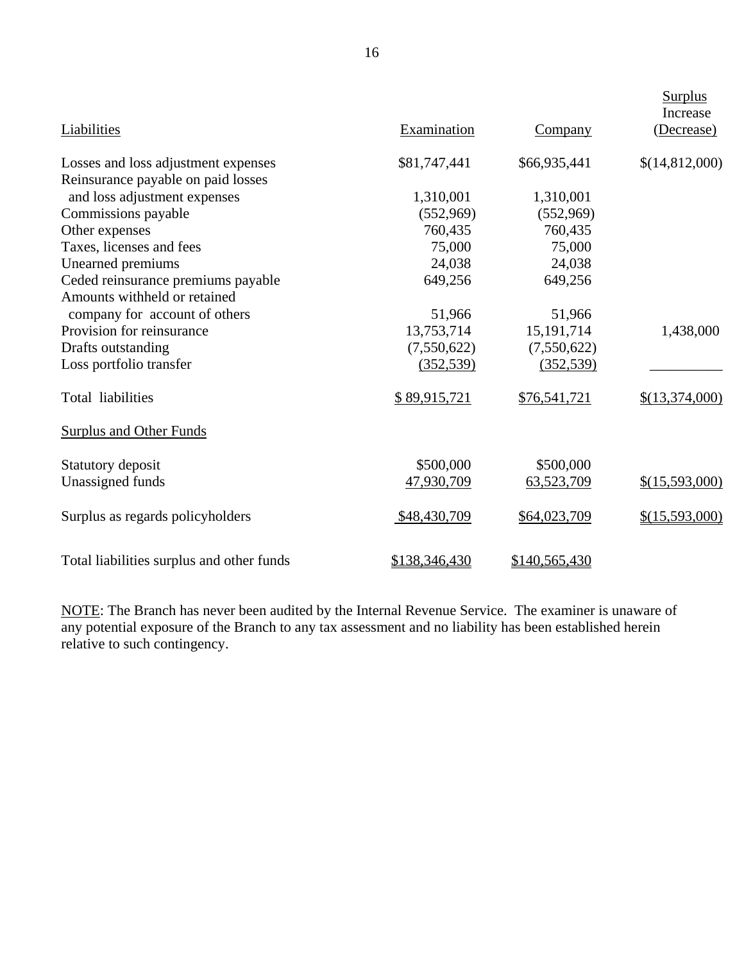| Liabilities                               | Examination   | <b>Company</b> | <b>Surplus</b><br>Increase<br>(Decrease) |
|-------------------------------------------|---------------|----------------|------------------------------------------|
| Losses and loss adjustment expenses       | \$81,747,441  | \$66,935,441   | \$(14,812,000)                           |
| Reinsurance payable on paid losses        |               |                |                                          |
| and loss adjustment expenses              | 1,310,001     | 1,310,001      |                                          |
| Commissions payable                       | (552,969)     | (552,969)      |                                          |
| Other expenses                            | 760,435       | 760,435        |                                          |
| Taxes, licenses and fees                  | 75,000        | 75,000         |                                          |
| Unearned premiums                         | 24,038        | 24,038         |                                          |
| Ceded reinsurance premiums payable        | 649,256       | 649,256        |                                          |
| Amounts withheld or retained              |               |                |                                          |
| company for account of others             | 51,966        | 51,966         |                                          |
| Provision for reinsurance                 | 13,753,714    | 15, 191, 714   | 1,438,000                                |
| Drafts outstanding                        | (7,550,622)   | (7,550,622)    |                                          |
| Loss portfolio transfer                   | (352, 539)    | (352, 539)     |                                          |
| Total liabilities                         | \$89,915,721  | \$76,541,721   | \$(13,374,000)                           |
| <b>Surplus and Other Funds</b>            |               |                |                                          |
| Statutory deposit                         | \$500,000     | \$500,000      |                                          |
| Unassigned funds                          | 47,930,709    | 63,523,709     | \$(15,593,000)                           |
| Surplus as regards policyholders          | \$48,430,709  | \$64,023,709   | \$(15,593,000)                           |
| Total liabilities surplus and other funds | \$138,346,430 | \$140,565,430  |                                          |

NOTE: The Branch has never been audited by the Internal Revenue Service. The examiner is unaware of any potential exposure of the Branch to any tax assessment and no liability has been established herein relative to such contingency.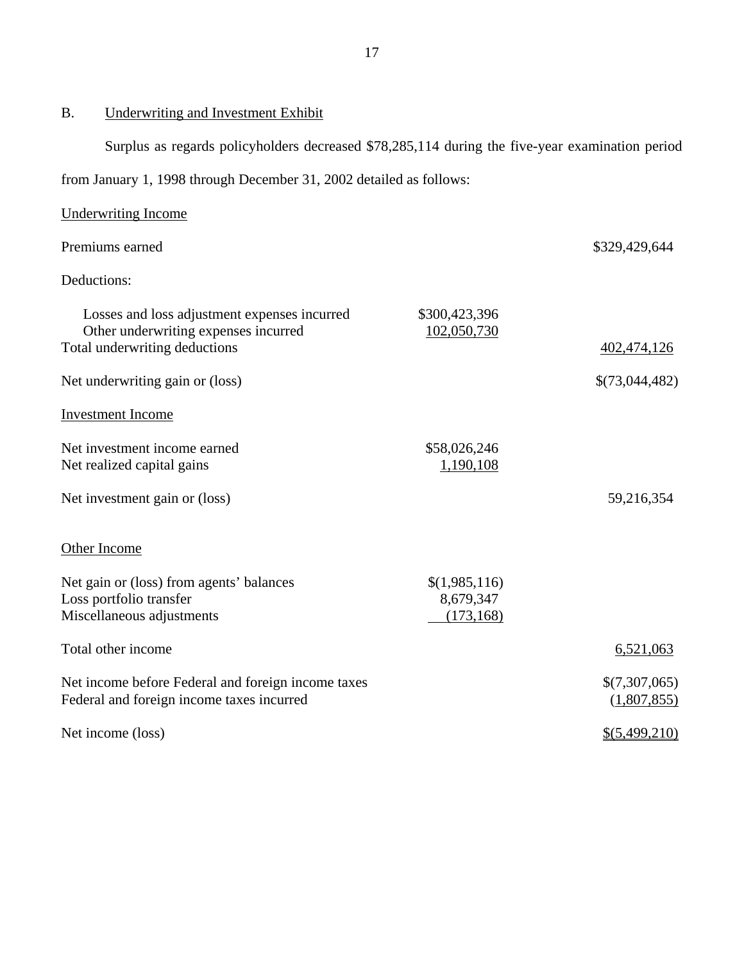## B. Underwriting and Investment Exhibit

Surplus as regards policyholders decreased \$78,285,114 during the five-year examination period

from January 1, 1998 through December 31, 2002 detailed as follows:

| <b>Underwriting Income</b>                                                                                            |                                          |                              |
|-----------------------------------------------------------------------------------------------------------------------|------------------------------------------|------------------------------|
| Premiums earned                                                                                                       |                                          | \$329,429,644                |
| Deductions:                                                                                                           |                                          |                              |
| Losses and loss adjustment expenses incurred<br>Other underwriting expenses incurred<br>Total underwriting deductions | \$300,423,396<br>102,050,730             | 402,474,126                  |
| Net underwriting gain or (loss)                                                                                       |                                          | \$(73,044,482)               |
| <b>Investment Income</b>                                                                                              |                                          |                              |
| Net investment income earned<br>Net realized capital gains                                                            | \$58,026,246<br>1,190,108                |                              |
| Net investment gain or (loss)                                                                                         |                                          | 59,216,354                   |
| Other Income                                                                                                          |                                          |                              |
| Net gain or (loss) from agents' balances<br>Loss portfolio transfer<br>Miscellaneous adjustments                      | \$(1,985,116)<br>8,679,347<br>(173, 168) |                              |
| Total other income                                                                                                    |                                          | 6,521,063                    |
| Net income before Federal and foreign income taxes<br>Federal and foreign income taxes incurred                       |                                          | \$(7,307,065)<br>(1,807,855) |
| Net income (loss)                                                                                                     |                                          | \$(5,499,210)                |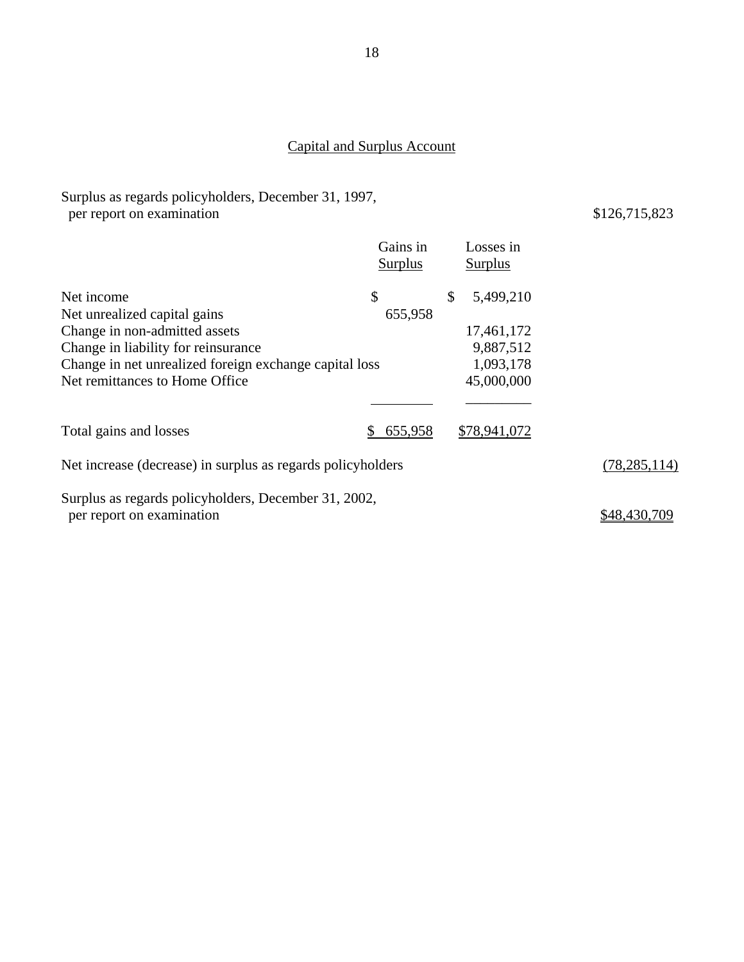## Capital and Surplus Account

Surplus as regards policyholders, December 31, 1997,

| per report on examination                                                         |                     |                      | \$126,715,823  |
|-----------------------------------------------------------------------------------|---------------------|----------------------|----------------|
|                                                                                   | Gains in<br>Surplus | Losses in<br>Surplus |                |
| Net income<br>Net unrealized capital gains                                        | \$<br>655,958       | \$<br>5,499,210      |                |
| Change in non-admitted assets                                                     |                     | 17,461,172           |                |
| Change in liability for reinsurance                                               |                     | 9,887,512            |                |
| Change in net unrealized foreign exchange capital loss                            |                     | 1,093,178            |                |
| Net remittances to Home Office                                                    |                     | 45,000,000           |                |
| Total gains and losses                                                            | 655,958             | \$78,941,072         |                |
| Net increase (decrease) in surplus as regards policyholders                       |                     |                      | (78, 285, 114) |
| Surplus as regards policyholders, December 31, 2002,<br>per report on examination |                     |                      | \$48,430,709   |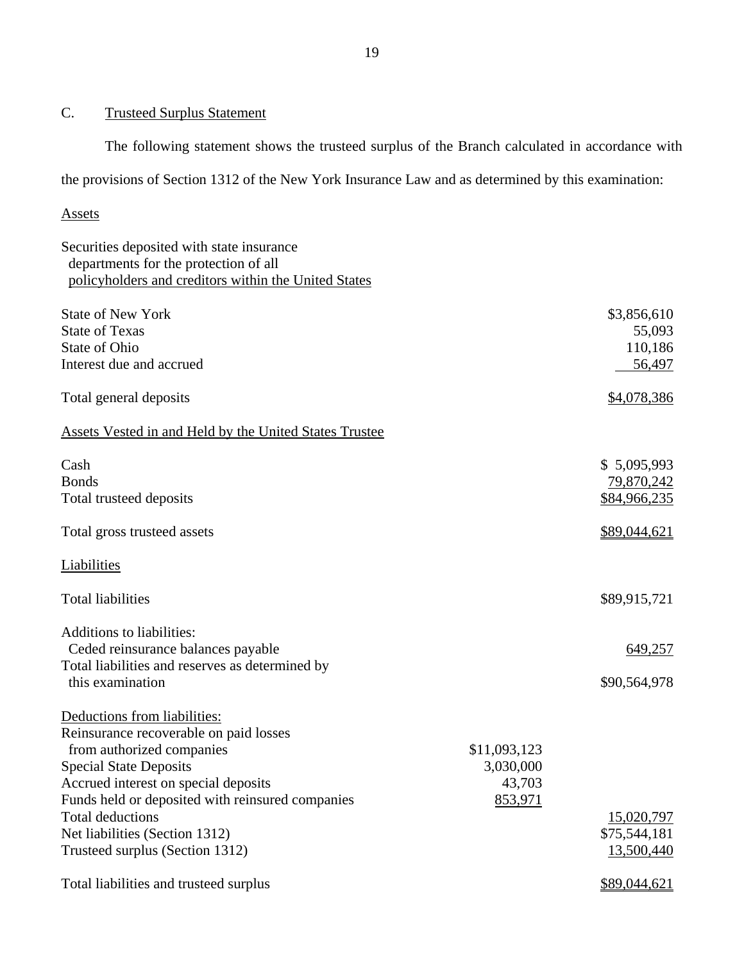## C. Trusteed Surplus Statement

The following statement shows the trusteed surplus of the Branch calculated in accordance with

the provisions of Section 1312 of the New York Insurance Law and as determined by this examination:

## Assets

## Securities deposited with state insurance departments for the protection of all policyholders and creditors within the United States

| <b>State of New York</b><br><b>State of Texas</b>      |              | \$3,856,610<br>55,093 |
|--------------------------------------------------------|--------------|-----------------------|
| <b>State of Ohio</b>                                   |              | 110,186               |
| Interest due and accrued                               |              | 56,497                |
|                                                        |              |                       |
| Total general deposits                                 |              | \$4,078,386           |
| Assets Vested in and Held by the United States Trustee |              |                       |
| Cash                                                   |              | \$5,095,993           |
| <b>Bonds</b>                                           |              | 79,870,242            |
| Total trusteed deposits                                |              | \$84,966,235          |
| Total gross trusteed assets                            |              | \$89,044,621          |
| Liabilities                                            |              |                       |
| <b>Total liabilities</b>                               |              | \$89,915,721          |
| <b>Additions to liabilities:</b>                       |              |                       |
| Ceded reinsurance balances payable                     |              | 649,257               |
| Total liabilities and reserves as determined by        |              |                       |
| this examination                                       |              | \$90,564,978          |
| Deductions from liabilities:                           |              |                       |
| Reinsurance recoverable on paid losses                 |              |                       |
| from authorized companies                              | \$11,093,123 |                       |
| <b>Special State Deposits</b>                          | 3,030,000    |                       |
| Accrued interest on special deposits                   | 43,703       |                       |
| Funds held or deposited with reinsured companies       | 853,971      |                       |
| <b>Total deductions</b>                                |              | 15,020,797            |
| Net liabilities (Section 1312)                         |              | \$75,544,181          |
| Trusteed surplus (Section 1312)                        |              | 13,500,440            |
| Total liabilities and trusteed surplus                 |              | \$89,044,621          |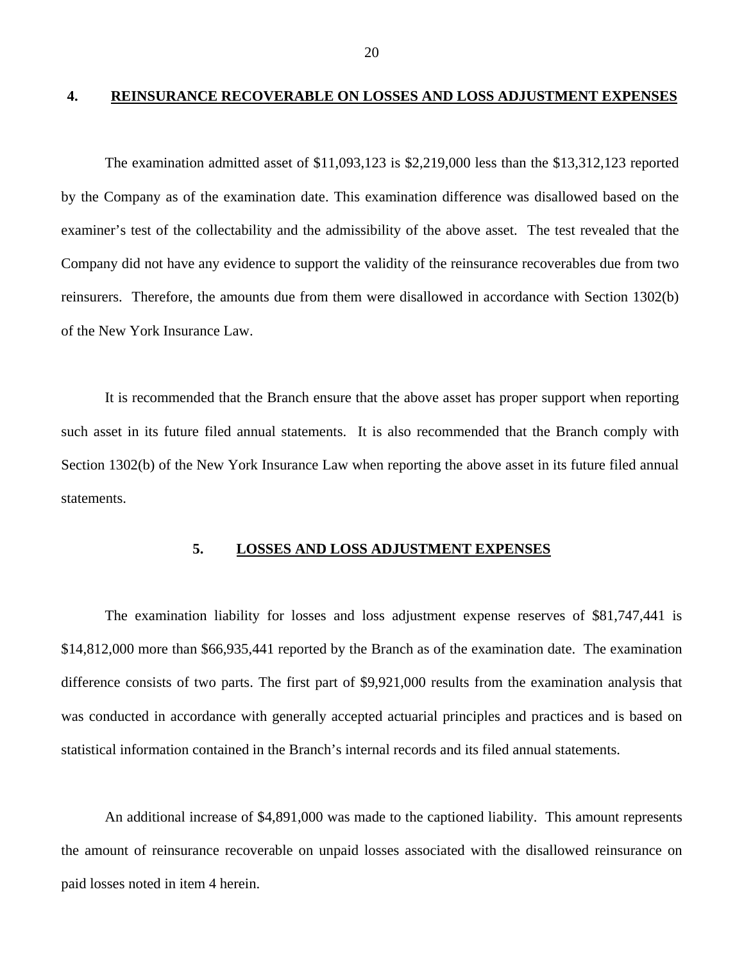#### <span id="page-21-0"></span>**4. REINSURANCE RECOVERABLE ON LOSSES AND LOSS ADJUSTMENT EXPENSES**

The examination admitted asset of \$11,093,123 is \$2,219,000 less than the \$13,312,123 reported by the Company as of the examination date. This examination difference was disallowed based on the examiner's test of the collectability and the admissibility of the above asset. The test revealed that the Company did not have any evidence to support the validity of the reinsurance recoverables due from two reinsurers. Therefore, the amounts due from them were disallowed in accordance with Section 1302(b) of the New York Insurance Law.

It is recommended that the Branch ensure that the above asset has proper support when reporting such asset in its future filed annual statements. It is also recommended that the Branch comply with Section 1302(b) of the New York Insurance Law when reporting the above asset in its future filed annual statements.

## **5. LOSSES AND LOSS ADJUSTMENT EXPENSES**

The examination liability for losses and loss adjustment expense reserves of \$81,747,441 is \$14,812,000 more than \$66,935,441 reported by the Branch as of the examination date. The examination difference consists of two parts. The first part of \$9,921,000 results from the examination analysis that was conducted in accordance with generally accepted actuarial principles and practices and is based on statistical information contained in the Branch's internal records and its filed annual statements.

An additional increase of \$4,891,000 was made to the captioned liability. This amount represents the amount of reinsurance recoverable on unpaid losses associated with the disallowed reinsurance on paid losses noted in item 4 herein.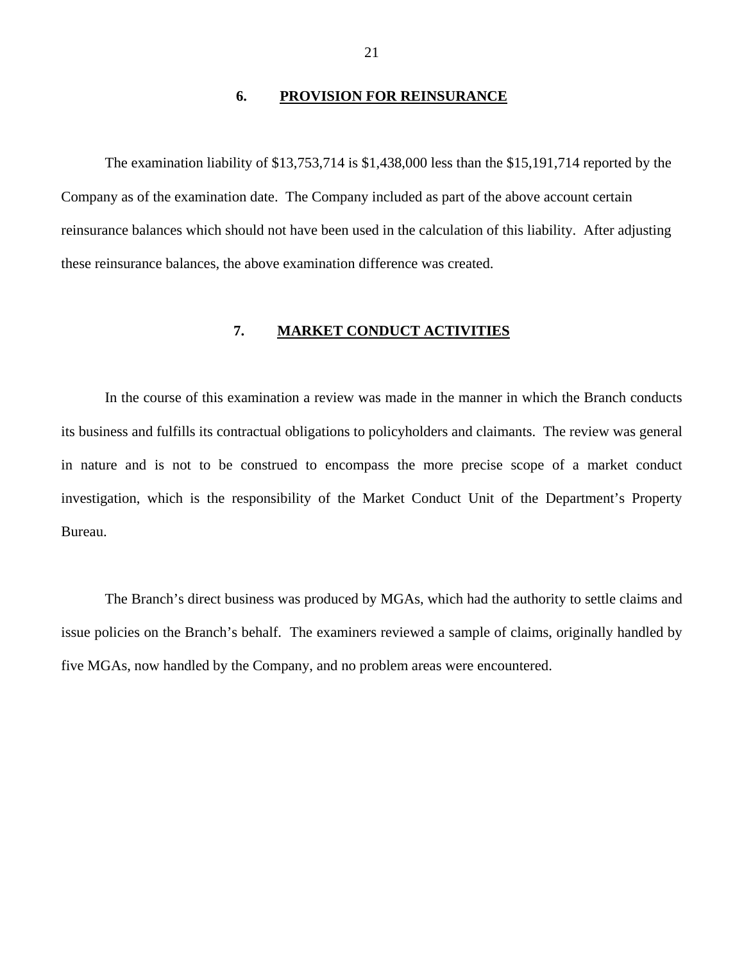#### **6. PROVISION FOR REINSURANCE**

<span id="page-22-0"></span>The examination liability of \$13,753,714 is \$1,438,000 less than the \$15,191,714 reported by the Company as of the examination date. The Company included as part of the above account certain reinsurance balances which should not have been used in the calculation of this liability. After adjusting these reinsurance balances, the above examination difference was created.

## **7. MARKET CONDUCT ACTIVITIES**

In the course of this examination a review was made in the manner in which the Branch conducts its business and fulfills its contractual obligations to policyholders and claimants. The review was general in nature and is not to be construed to encompass the more precise scope of a market conduct investigation, which is the responsibility of the Market Conduct Unit of the Department's Property Bureau.

The Branch's direct business was produced by MGAs, which had the authority to settle claims and issue policies on the Branch's behalf. The examiners reviewed a sample of claims, originally handled by five MGAs, now handled by the Company, and no problem areas were encountered.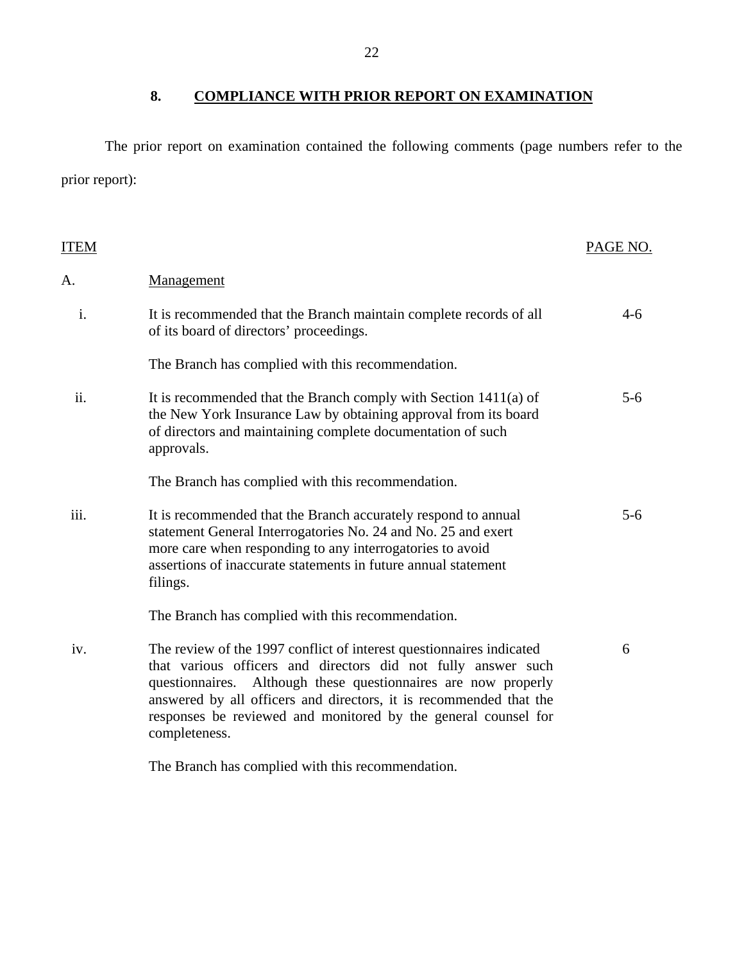8. COMPLIANCE WITH PRIOR REPORT ON EXAMINATION

The prior report on examination contained the following comments (page numbers refer to the prior report):

| ITEM |                                                                                                                                                                                                                                                                                                                                                                     | PAGE NO. |
|------|---------------------------------------------------------------------------------------------------------------------------------------------------------------------------------------------------------------------------------------------------------------------------------------------------------------------------------------------------------------------|----------|
| A.   | Management                                                                                                                                                                                                                                                                                                                                                          |          |
| i.   | It is recommended that the Branch maintain complete records of all<br>of its board of directors' proceedings.                                                                                                                                                                                                                                                       | $4-6$    |
|      | The Branch has complied with this recommendation.                                                                                                                                                                                                                                                                                                                   |          |
| ii.  | It is recommended that the Branch comply with Section $1411(a)$ of<br>the New York Insurance Law by obtaining approval from its board<br>of directors and maintaining complete documentation of such<br>approvals.                                                                                                                                                  | $5 - 6$  |
|      | The Branch has complied with this recommendation.                                                                                                                                                                                                                                                                                                                   |          |
| iii. | It is recommended that the Branch accurately respond to annual<br>statement General Interrogatories No. 24 and No. 25 and exert<br>more care when responding to any interrogatories to avoid<br>assertions of inaccurate statements in future annual statement<br>filings.                                                                                          | $5 - 6$  |
|      | The Branch has complied with this recommendation.                                                                                                                                                                                                                                                                                                                   |          |
| iv.  | The review of the 1997 conflict of interest questionnaires indicated<br>that various officers and directors did not fully answer such<br>Although these questionnaires are now properly<br>questionnaires.<br>answered by all officers and directors, it is recommended that the<br>responses be reviewed and monitored by the general counsel for<br>completeness. | 6        |
|      | The Branch has complied with this recommendation.                                                                                                                                                                                                                                                                                                                   |          |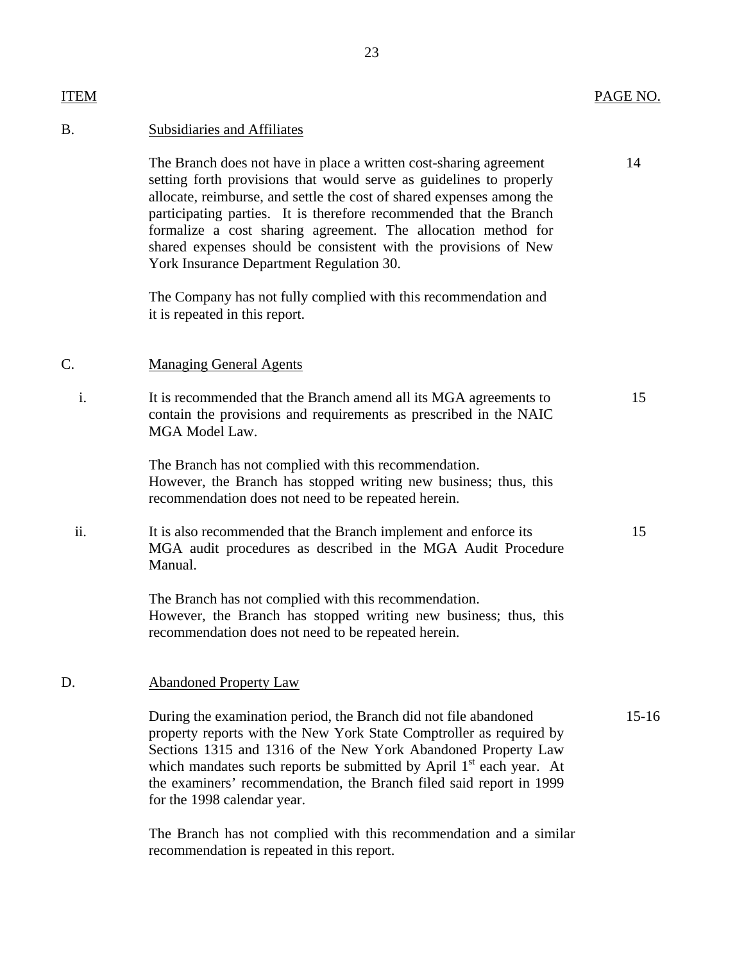| ITEM |                                                                                                                                                                                                                                                                                                                                                                                                                                                                          | PAGE NO.  |
|------|--------------------------------------------------------------------------------------------------------------------------------------------------------------------------------------------------------------------------------------------------------------------------------------------------------------------------------------------------------------------------------------------------------------------------------------------------------------------------|-----------|
| B.   | <b>Subsidiaries and Affiliates</b>                                                                                                                                                                                                                                                                                                                                                                                                                                       |           |
|      | The Branch does not have in place a written cost-sharing agreement<br>setting forth provisions that would serve as guidelines to properly<br>allocate, reimburse, and settle the cost of shared expenses among the<br>participating parties. It is therefore recommended that the Branch<br>formalize a cost sharing agreement. The allocation method for<br>shared expenses should be consistent with the provisions of New<br>York Insurance Department Regulation 30. | 14        |
|      | The Company has not fully complied with this recommendation and<br>it is repeated in this report.                                                                                                                                                                                                                                                                                                                                                                        |           |
| C.   | <b>Managing General Agents</b>                                                                                                                                                                                                                                                                                                                                                                                                                                           |           |
| i.   | It is recommended that the Branch amend all its MGA agreements to<br>contain the provisions and requirements as prescribed in the NAIC<br>MGA Model Law.                                                                                                                                                                                                                                                                                                                 | 15        |
|      | The Branch has not complied with this recommendation.<br>However, the Branch has stopped writing new business; thus, this<br>recommendation does not need to be repeated herein.                                                                                                                                                                                                                                                                                         |           |
| ii.  | It is also recommended that the Branch implement and enforce its<br>MGA audit procedures as described in the MGA Audit Procedure<br>Manual.                                                                                                                                                                                                                                                                                                                              | 15        |
|      | The Branch has not complied with this recommendation.<br>However, the Branch has stopped writing new business; thus, this<br>recommendation does not need to be repeated herein.                                                                                                                                                                                                                                                                                         |           |
| D.   | <b>Abandoned Property Law</b>                                                                                                                                                                                                                                                                                                                                                                                                                                            |           |
|      | During the examination period, the Branch did not file abandoned                                                                                                                                                                                                                                                                                                                                                                                                         | $15 - 16$ |

property reports with the New York State Comptroller as required by Sections 1315 and 1316 of the New York Abandoned Property Law which mandates such reports be submitted by April 1<sup>st</sup> each year. At the examiners' recommendation, the Branch filed said report in 1999 for the 1998 calendar year.

The Branch has not complied with this recommendation and a similar recommendation is repeated in this report.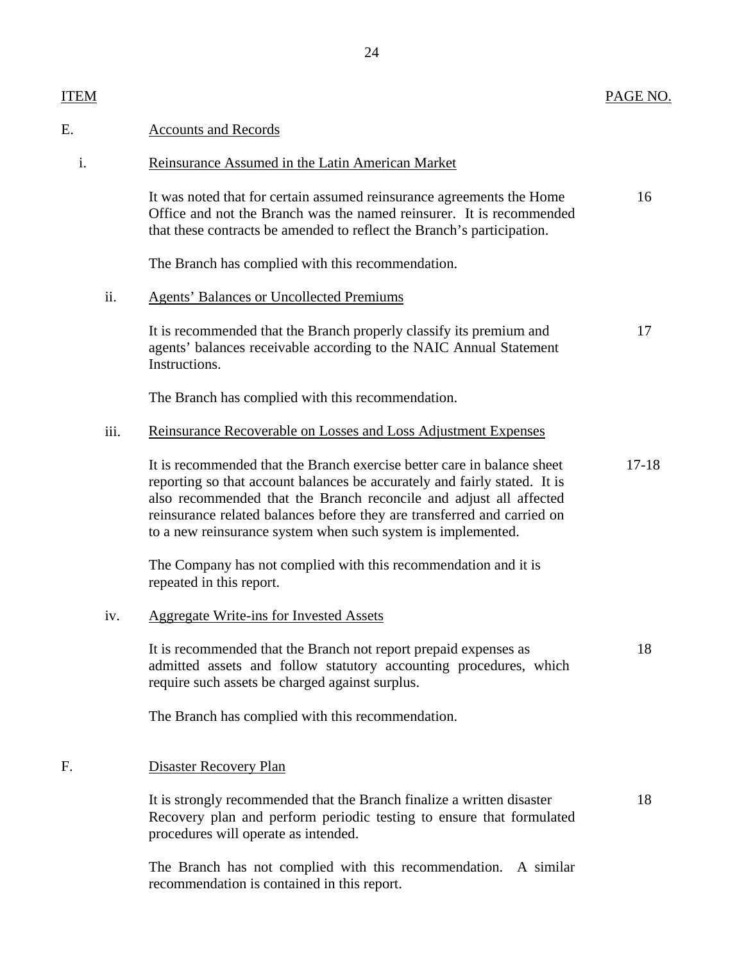18

18

## ITEM

#### E. Accounts and Records

#### i. Reinsurance Assumed in the Latin American Market

16 It was noted that for certain assumed reinsurance agreements the Home Office and not the Branch was the named reinsurer. It is recommended that these contracts be amended to reflect the Branch's participation.

The Branch has complied with this recommendation.

#### ii. Agents' Balances or Uncollected Premiums

It is recommended that the Branch properly classify its premium and agents' balances receivable according to the NAIC Annual Statement **Instructions** 17

The Branch has complied with this recommendation.

#### iii. Reinsurance Recoverable on Losses and Loss Adjustment Expenses

It is recommended that the Branch exercise better care in balance sheet reporting so that account balances be accurately and fairly stated. It is also recommended that the Branch reconcile and adjust all affected reinsurance related balances before they are transferred and carried on to a new reinsurance system when such system is implemented. 17-18

The Company has not complied with this recommendation and it is repeated in this report.

#### iv. Aggregate Write-ins for Invested Assets

It is recommended that the Branch not report prepaid expenses as admitted assets and follow statutory accounting procedures, which require such assets be charged against surplus.

The Branch has complied with this recommendation.

#### F. Disaster Recovery Plan

It is strongly recommended that the Branch finalize a written disaster Recovery plan and perform periodic testing to ensure that formulated procedures will operate as intended.

The Branch has not complied with this recommendation. A similar recommendation is contained in this report.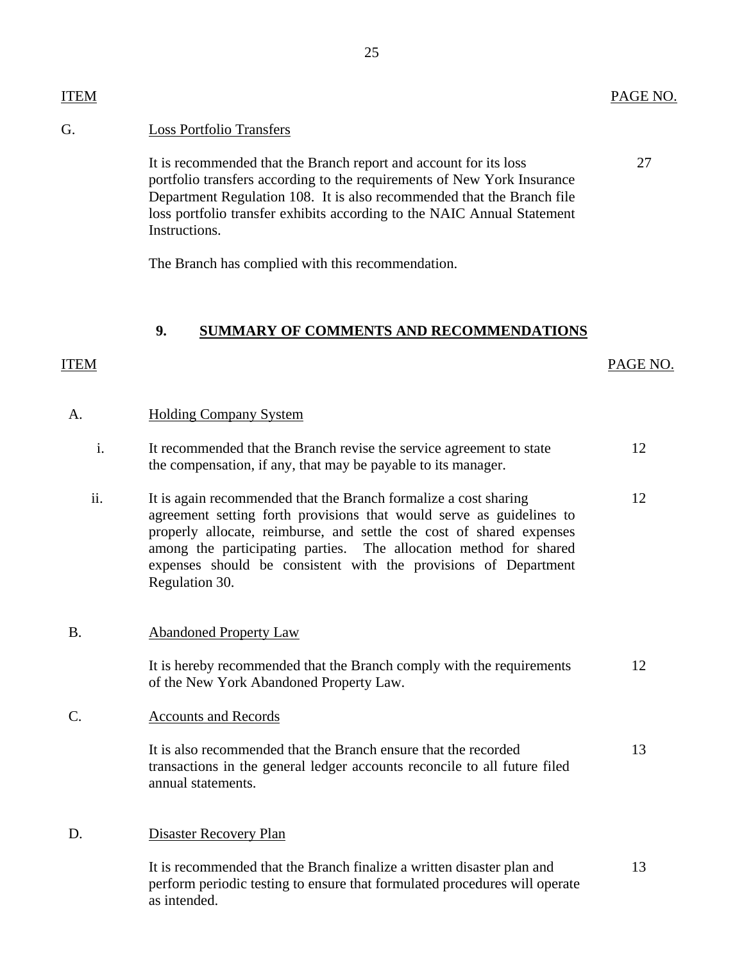<span id="page-26-0"></span>It is recommended that the Branch report and account for its loss portfolio transfers according to the requirements of New York Insurance Department Regulation 108. It is also recommended that the Branch file loss portfolio transfer exhibits according to the NAIC Annual Statement Instructions.

25

The Branch has complied with this recommendation.

## **9. SUMMARY OF COMMENTS AND RECOMMENDATIONS**

# A. Holding Company System i. It recommended that the Branch revise the service agreement to state 12 the compensation, if any, that may be payable to its manager. ii. It is again recommended that the Branch formalize a cost sharing 12 agreement setting forth provisions that would serve as guidelines to

properly allocate, reimburse, and settle the cost of shared expenses among the participating parties. The allocation method for shared expenses should be consistent with the provisions of Department Regulation 30.

## B. Abandoned Property Law

It is hereby recommended that the Branch comply with the requirements 12 of the New York Abandoned Property Law.

## C. Accounts and Records

It is also recommended that the Branch ensure that the recorded transactions in the general ledger accounts reconcile to all future filed annual statements. 13

D. Disaster Recovery Plan

It is recommended that the Branch finalize a written disaster plan and 13 perform periodic testing to ensure that formulated procedures will operate as intended.

27

ITEM PAGE NO.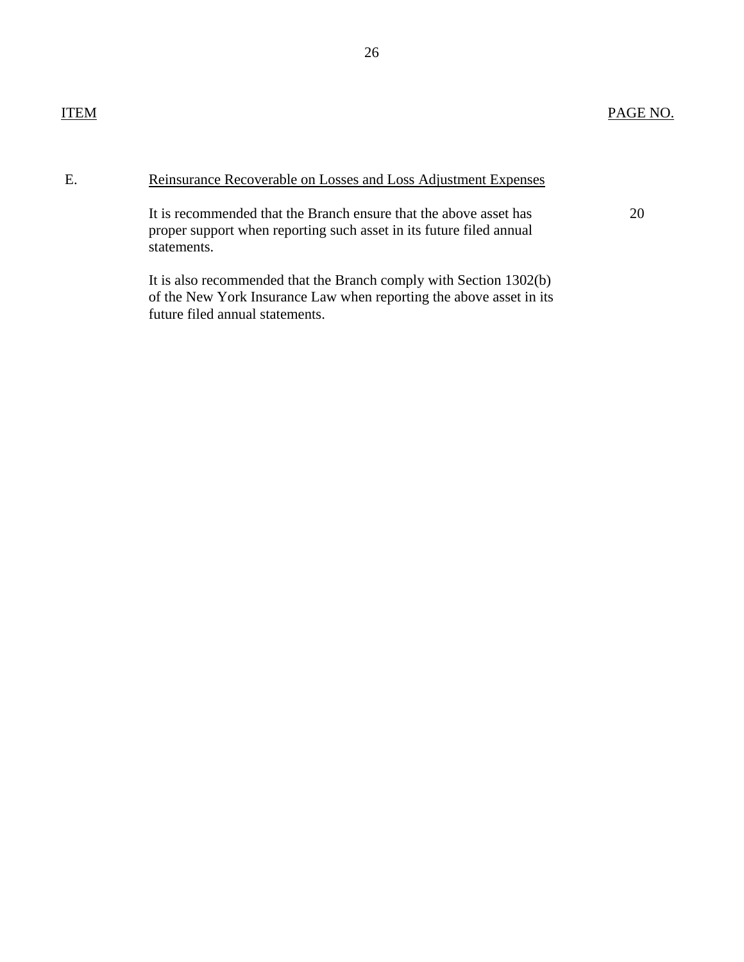20

## E. Reinsurance Recoverable on Losses and Loss Adjustment Expenses

It is recommended that the Branch ensure that the above asset has proper support when reporting such asset in its future filed annual statements.

It is also recommended that the Branch comply with Section 1302(b) of the New York Insurance Law when reporting the above asset in its future filed annual statements.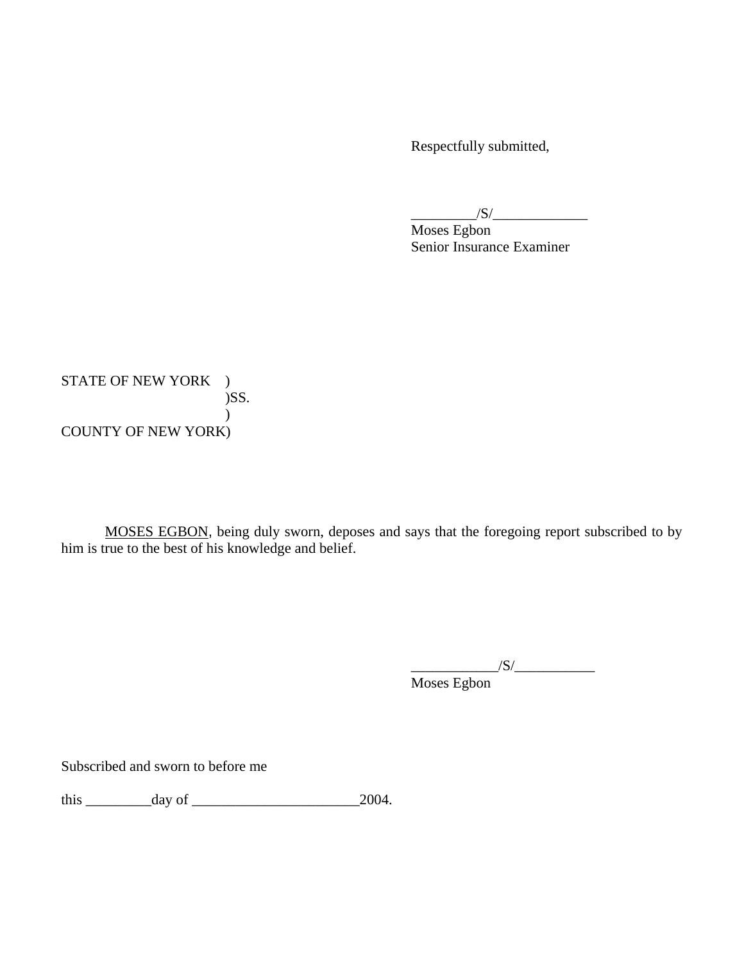Respectfully submitted,

 $\frac{1}{\sqrt{S}}$ 

Moses Egbon Senior Insurance Examiner

STATE OF NEW YORK ) )SS. ) COUNTY OF NEW YORK)

 MOSES EGBON, being duly sworn, deposes and says that the foregoing report subscribed to by him is true to the best of his knowledge and belief.

 $\frac{1}{\sqrt{S}}$ 

Moses Egbon

Subscribed and sworn to before me

this \_\_\_\_\_\_\_\_\_day of \_\_\_\_\_\_\_\_\_\_\_\_\_\_\_\_\_\_\_\_\_\_\_2004.